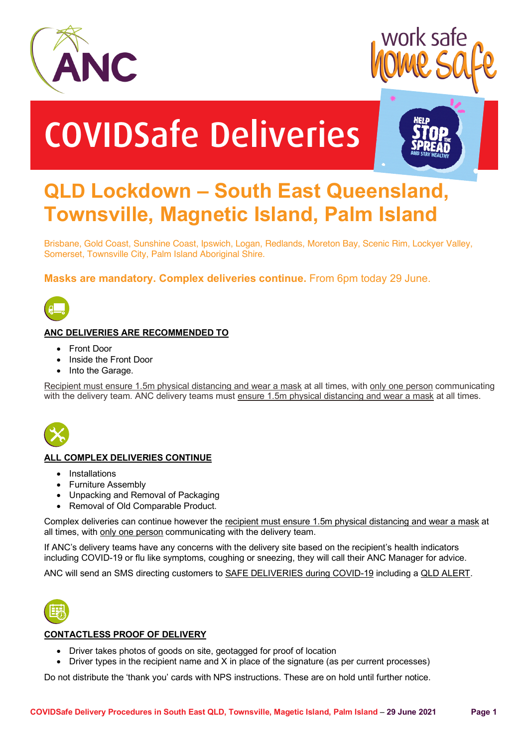



# COVIDSafe Deliveries



# **QLD Lockdown – South East Queensland, Townsville, Magnetic Island, Palm Island**

Brisbane, Gold Coast, Sunshine Coast, Ipswich, Logan, Redlands, Moreton Bay, Scenic Rim, Lockyer Valley, Somerset, Townsville City, Palm Island Aboriginal Shire.

**Masks are mandatory. Complex deliveries continue.** From 6pm today 29 June.



# **ANC DELIVERIES ARE RECOMMENDED TO**

- Front Door
- Inside the Front Door
- Into the Garage.

Recipient must ensure 1.5m physical distancing and wear a mask at all times, with only one person communicating with the delivery team. ANC delivery teams must ensure 1.5m physical distancing and wear a mask at all times.



### **ALL COMPLEX DELIVERIES CONTINUE**

- Installations
- Furniture Assembly
- Unpacking and Removal of Packaging
- Removal of Old Comparable Product.

Complex deliveries can continue however the recipient must ensure 1.5m physical distancing and wear a mask at all times, with only one person communicating with the delivery team.

If ANC's delivery teams have any concerns with the delivery site based on the recipient's health indicators including COVID-19 or flu like symptoms, coughing or sneezing, they will call their ANC Manager for advice.

ANC will send an SMS directing customers to SAFE DELIVERIES during COVID-19 including a QLD ALERT.



### **CONTACTLESS PROOF OF DELIVERY**

- Driver takes photos of goods on site, geotagged for proof of location
- Driver types in the recipient name and X in place of the signature (as per current processes)

Do not distribute the 'thank you' cards with NPS instructions. These are on hold until further notice.